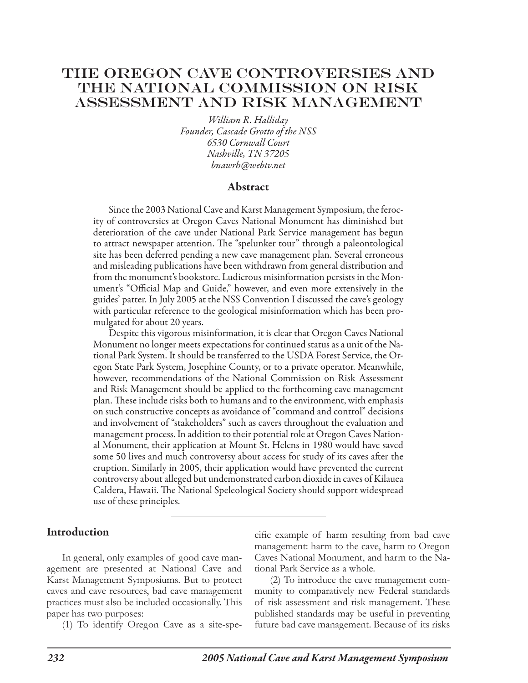# THE OREGON CAVE CONTROVERSIES AND The National Commission on Risk Assessment and Risk Management

*William R. Halliday Founder, Cascade Grotto of the NSS 6530 Cornwall Court Nashville, TN 37205 bnawrh@webtv.net*

#### Abstract

Since the 2003 National Cave and Karst Management Symposium, the ferocity of controversies at Oregon Caves National Monument has diminished but deterioration of the cave under National Park Service management has begun to attract newspaper attention. The "spelunker tour" through a paleontological site has been deferred pending a new cave management plan. Several erroneous and misleading publications have been withdrawn from general distribution and from the monument's bookstore. Ludicrous misinformation persists in the Monument's "Official Map and Guide," however, and even more extensively in the guides' patter. In July 2005 at the NSS Convention I discussed the cave's geology with particular reference to the geological misinformation which has been promulgated for about 20 years.

Despite this vigorous misinformation, it is clear that Oregon Caves National Monument no longer meets expectations for continued status as a unit of the National Park System. It should be transferred to the USDA Forest Service, the Oregon State Park System, Josephine County, or to a private operator. Meanwhile, however, recommendations of the National Commission on Risk Assessment and Risk Management should be applied to the forthcoming cave management plan. These include risks both to humans and to the environment, with emphasis on such constructive concepts as avoidance of "command and control" decisions and involvement of "stakeholders" such as cavers throughout the evaluation and management process. In addition to their potential role at Oregon Caves National Monument, their application at Mount St. Helens in 1980 would have saved some 50 lives and much controversy about access for study of its caves after the eruption. Similarly in 2005, their application would have prevented the current controversy about alleged but undemonstrated carbon dioxide in caves of Kilauea Caldera, Hawaii. The National Speleological Society should support widespread use of these principles.

#### Introduction

In general, only examples of good cave management are presented at National Cave and Karst Management Symposiums. But to protect caves and cave resources, bad cave management practices must also be included occasionally. This paper has two purposes:

(1) To identify Oregon Cave as a site-spe-

cific example of harm resulting from bad cave management: harm to the cave, harm to Oregon Caves National Monument, and harm to the National Park Service as a whole.

(2) To introduce the cave management community to comparatively new Federal standards of risk assessment and risk management. These published standards may be useful in preventing future bad cave management. Because of its risks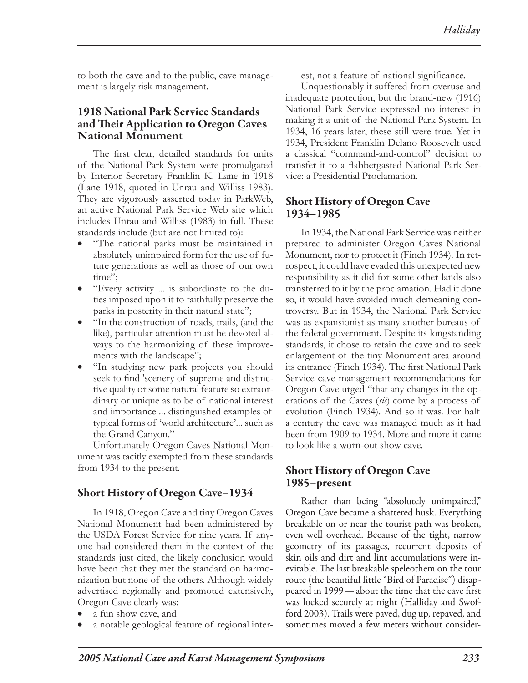to both the cave and to the public, cave management is largely risk management.

### 1918 National Park Service Standards and Their Application to Oregon **Caves National Monument**

The first clear, detailed standards for units of the National Park System were promulgated by Interior Secretary Franklin K. Lane in 1918 (Lane 1918, quoted in Unrau and Williss 1983). They are vigorously asserted today in ParkWeb, an active National Park Service Web site which includes Unrau and Williss (1983) in full. These standards include (but are not limited to):

- "The national parks must be maintained in absolutely unimpaired form for the use of future generations as well as those of our own time":
- • "Every activity ... is subordinate to the duties imposed upon it to faithfully preserve the parks in posterity in their natural state";
- "In the construction of roads, trails, (and the like), particular attention must be devoted always to the harmonizing of these improvements with the landscape";
- "In studying new park projects you should seek to find 'scenery of supreme and distinctive quality or some natural feature so extraordinary or unique as to be of national interest and importance ... distinguished examples of typical forms of 'world architecture'... such as the Grand Canyon."

Unfortunately Oregon Caves National Monument was tacitly exempted from these standards from 1934 to the present.

# Short History of Oregon Cave–1934

In 1918, Oregon Cave and tiny Oregon Caves National Monument had been administered by the USDA Forest Service for nine years. If anyone had considered them in the context of the standards just cited, the likely conclusion would have been that they met the standard on harmonization but none of the others. Although widely advertised regionally and promoted extensively, Oregon Cave clearly was:

- a fun show cave, and
- a notable geological feature of regional inter-

est, not a feature of national significance.

Unquestionably it suffered from overuse and inadequate protection, but the brand-new (1916) National Park Service expressed no interest in making it a unit of the National Park System. In 1934, 16 years later, these still were true. Yet in 1934, President Franklin Delano Roosevelt used a classical "command-and-control" decision to transfer it to a flabbergasted National Park Service: a Presidential Proclamation.

### Short History of Oregon Cave 1934–1985

In 1934, the National Park Service was neither prepared to administer Oregon Caves National Monument, nor to protect it (Finch 1934). In retrospect, it could have evaded this unexpected new responsibility as it did for some other lands also transferred to it by the proclamation. Had it done so, it would have avoided much demeaning controversy. But in 1934, the National Park Service was as expansionist as many another bureaus of the federal government. Despite its longstanding standards, it chose to retain the cave and to seek enlargement of the tiny Monument area around its entrance (Finch 1934). The first National Park Service cave management recommendations for Oregon Cave urged "that any changes in the operations of the Caves (*sic*) come by a process of evolution (Finch 1934). And so it was. For half a century the cave was managed much as it had been from 1909 to 1934. More and more it came to look like a worn-out show cave.

# Short History of Oregon Cave 1985–present

Rather than being "absolutely unimpaired," Oregon Cave became a shattered husk. Everything breakable on or near the tourist path was broken, even well overhead. Because of the tight, narrow geometry of its passages, recurrent deposits of skin oils and dirt and lint accumulations were inevitable. The last breakable speleothem on the tour route (the beautiful little "Bird of Paradise") disappeared in 1999—about the time that the cave first was locked securely at night (Halliday and Swofford 2003). Trails were paved, dug up, repaved, and sometimes moved a few meters without consider-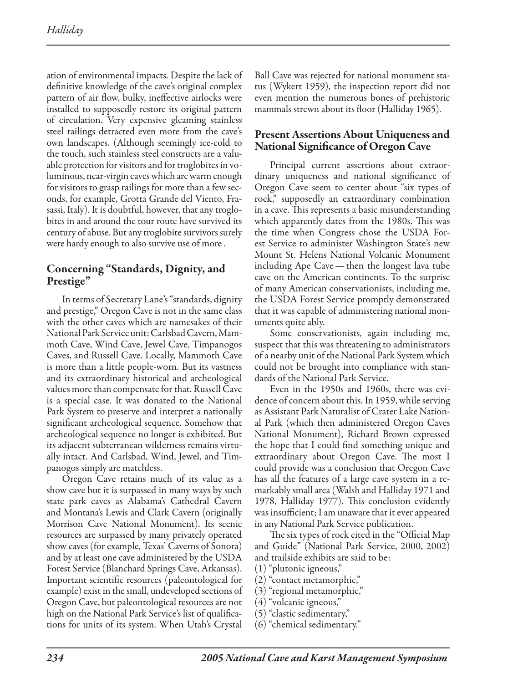ation of environmental impacts. Despite the lack of definitive knowledge of the cave's original complex pattern of air flow, bulky, ineffective airlocks were installed to supposedly restore its original pattern of circulation. Very expensive gleaming stainless steel railings detracted even more from the cave's own landscapes. (Although seemingly ice-cold to the touch, such stainless steel constructs are a valuable protection for visitors and for troglobites in voluminous, near-virgin caves which are warm enough for visitors to grasp railings for more than a few seconds, for example, Grotta Grande del Viento, Frasassi, Italy). It is doubtful, however, that any troglobites in and around the tour route have survived its century of abuse. But any troglobite survivors surely were hardy enough to also survive use of more .

# Concerning "Standards, Dignity, and Prestige"

In terms of Secretary Lane's "standards, dignity and prestige," Oregon Cave is not in the same class with the other caves which are namesakes of their National Park Service unit: Carlsbad Cavern, Mammoth Cave, Wind Cave, Jewel Cave, Timpanogos Caves, and Russell Cave. Locally, Mammoth Cave is more than a little people-worn. But its vastness and its extraordinary historical and archeological values more than compensate for that. Russell Cave is a special case. It was donated to the National Park System to preserve and interpret a nationally significant archeological sequence. Somehow that archeological sequence no longer is exhibited. But its adjacent subterranean wilderness remains virtually intact. And Carlsbad, Wind, Jewel, and Timpanogos simply are matchless.

Oregon Cave retains much of its value as a show cave but it is surpassed in many ways by such state park caves as Alabama's Cathedral Cavern and Montana's Lewis and Clark Cavern (originally Morrison Cave National Monument). Its scenic resources are surpassed by many privately operated show caves (for example, Texas' Caverns of Sonora) and by at least one cave administered by the USDA Forest Service (Blanchard Springs Cave, Arkansas). Important scientific resources (paleontological for example) exist in the small, undeveloped sections of Oregon Cave, but paleontological resources are not high on the National Park Service's list of qualifications for units of its system. When Utah's Crystal

Ball Cave was rejected for national monument status (Wykert 1959), the inspection report did not even mention the numerous bones of prehistoric mammals strewn about its floor (Halliday 1965).

## Present Assertions About Uniqueness and National Significance of Oregon Cave

Principal current assertions about extraordinary uniqueness and national significance of Oregon Cave seem to center about "six types of rock," supposedly an extraordinary combination in a cave. This represents a basic misunderstanding which apparently dates from the 1980s. This was the time when Congress chose the USDA Forest Service to administer Washington State's new Mount St. Helens National Volcanic Monument including Ape Cave—then the longest lava tube cave on the American continents. To the surprise of many American conservationists, including me, the USDA Forest Service promptly demonstrated that it was capable of administering national monuments quite ably.

Some conservationists, again including me, suspect that this was threatening to administrators of a nearby unit of the National Park System which could not be brought into compliance with standards of the National Park Service.

Even in the 1950s and 1960s, there was evidence of concern about this. In 1959, while serving as Assistant Park Naturalist of Crater Lake National Park (which then administered Oregon Caves National Monument), Richard Brown expressed the hope that I could find something unique and extraordinary about Oregon Cave. The most I could provide was a conclusion that Oregon Cave has all the features of a large cave system in a remarkably small area (Walsh and Halliday 1971 and 1978, Halliday 1977). This conclusion evidently was insufficient; I am unaware that it ever appeared in any National Park Service publication.

The six types of rock cited in the "Official Map and Guide" (National Park Service, 2000, 2002) and trailside exhibits are said to be:

- (1) "plutonic igneous,"
- (2) "contact metamorphic,"
- (3) "regional metamorphic,"
- (4) "volcanic igneous,"
- (5) "clastic sedimentary,"
- (6) "chemical sedimentary."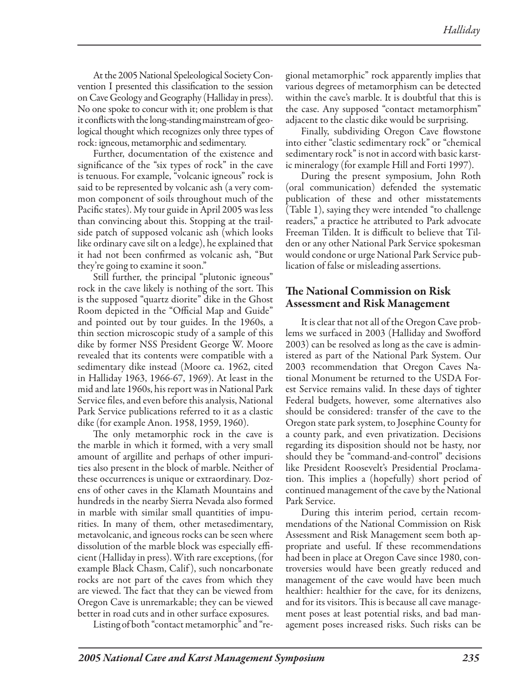At the 2005 National Speleological Society Convention I presented this classification to the session on Cave Geology and Geography (Halliday in press). No one spoke to concur with it; one problem is that it conflicts with the long-standing mainstream of geological thought which recognizes only three types of rock: igneous, metamorphic and sedimentary.

Further, documentation of the existence and significance of the "six types of rock" in the cave is tenuous. For example, "volcanic igneous" rock is said to be represented by volcanic ash (a very common component of soils throughout much of the Pacific states). My tour guide in April 2005 was less than convincing about this. Stopping at the trailside patch of supposed volcanic ash (which looks like ordinary cave silt on a ledge), he explained that it had not been confirmed as volcanic ash, "But they're going to examine it soon."

Still further, the principal "plutonic igneous" rock in the cave likely is nothing of the sort. This is the supposed "quartz diorite" dike in the Ghost Room depicted in the "Official Map and Guide" and pointed out by tour guides. In the 1960s, a thin section microscopic study of a sample of this dike by former NSS President George W. Moore revealed that its contents were compatible with a sedimentary dike instead (Moore ca. 1962, cited in Halliday 1963, 1966-67, 1969). At least in the mid and late 1960s, his report was in National Park Service files, and even before this analysis, National Park Service publications referred to it as a clastic dike (for example Anon. 1958, 1959, 1960).

The only metamorphic rock in the cave is the marble in which it formed, with a very small amount of argillite and perhaps of other impurities also present in the block of marble. Neither of these occurrences is unique or extraordinary. Dozens of other caves in the Klamath Mountains and hundreds in the nearby Sierra Nevada also formed in marble with similar small quantities of impurities. In many of them, other metasedimentary, metavolcanic, and igneous rocks can be seen where dissolution of the marble block was especially efficient (Halliday in press). With rare exceptions, (for example Black Chasm, Calif ), such noncarbonate rocks are not part of the caves from which they are viewed. The fact that they can be viewed from Oregon Cave is unremarkable; they can be viewed better in road cuts and in other surface exposures.

Listing of both "contact metamorphic" and "re-

gional metamorphic" rock apparently implies that various degrees of metamorphism can be detected within the cave's marble. It is doubtful that this is the case. Any supposed "contact metamorphism" adjacent to the clastic dike would be surprising.

Finally, subdividing Oregon Cave flowstone into either "clastic sedimentary rock" or "chemical sedimentary rock" is not in accord with basic karstic mineralogy (for example Hill and Forti 1997).

During the present symposium, John Roth (oral communication) defended the systematic publication of these and other misstatements (Table 1), saying they were intended "to challenge readers," a practice he attributed to Park advocate Freeman Tilden. It is difficult to believe that Tilden or any other National Park Service spokesman would condone or urge National Park Service publication of false or misleading assertions.

### The National Commission on Risk Assessment and Risk Management

It is clear that not all of the Oregon Cave problems we surfaced in 2003 (Halliday and Swofford 2003) can be resolved as long as the cave is administered as part of the National Park System. Our 2003 recommendation that Oregon Caves National Monument be returned to the USDA Forest Service remains valid. In these days of tighter Federal budgets, however, some alternatives also should be considered: transfer of the cave to the Oregon state park system, to Josephine County for a county park, and even privatization. Decisions regarding its disposition should not be hasty, nor should they be "command-and-control" decisions like President Roosevelt's Presidential Proclamation. This implies a (hopefully) short period of continued management of the cave by the National Park Service.

During this interim period, certain recommendations of the National Commission on Risk Assessment and Risk Management seem both appropriate and useful. If these recommendations had been in place at Oregon Cave since 1980, controversies would have been greatly reduced and management of the cave would have been much healthier: healthier for the cave, for its denizens, and for its visitors. This is because all cave management poses at least potential risks, and bad management poses increased risks. Such risks can be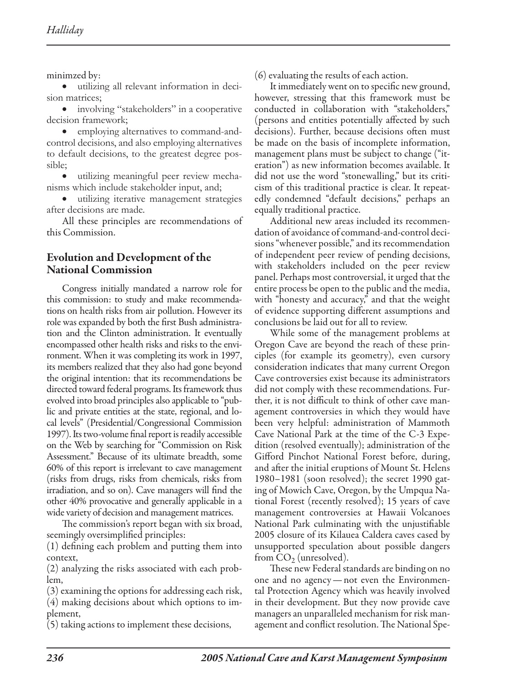minimzed by:

• utilizing all relevant information in decision matrices;

• involving "stakeholders" in a cooperative decision framework;

• employing alternatives to command-andcontrol decisions, and also employing alternatives to default decisions, to the greatest degree possible;

• utilizing meaningful peer review mechanisms which include stakeholder input, and;

utilizing iterative management strategies after decisions are made.

All these principles are recommendations of this Commission.

## Evolution and Development of the National Commission

Congress initially mandated a narrow role for this commission: to study and make recommendations on health risks from air pollution. However its role was expanded by both the first Bush administration and the Clinton administration. It eventually encompassed other health risks and risks to the environment. When it was completing its work in 1997, its members realized that they also had gone beyond the original intention: that its recommendations be directed toward federal programs. Its framework thus evolved into broad principles also applicable to "public and private entities at the state, regional, and local levels" (Presidential/Congressional Commission 1997). Its two-volume final report is readily accessible on the Web by searching for "Commission on Risk Assessment." Because of its ultimate breadth, some 60% of this report is irrelevant to cave management (risks from drugs, risks from chemicals, risks from irradiation, and so on). Cave managers will find the other 40% provocative and generally applicable in a wide variety of decision and management matrices.

The commission's report began with six broad, seemingly oversimplified principles:

(1) defining each problem and putting them into context,

(2) analyzing the risks associated with each problem,

(3) examining the options for addressing each risk,

(4) making decisions about which options to implement,

(5) taking actions to implement these decisions,

(6) evaluating the results of each action.

It immediately went on to specific new ground, however, stressing that this framework must be conducted in collaboration with "stakeholders," (persons and entities potentially affected by such decisions). Further, because decisions often must be made on the basis of incomplete information, management plans must be subject to change ("iteration") as new information becomes available. It did not use the word "stonewalling," but its criticism of this traditional practice is clear. It repeatedly condemned "default decisions," perhaps an equally traditional practice.

Additional new areas included its recommendation of avoidance of command-and-control decisions "whenever possible," and its recommendation of independent peer review of pending decisions, with stakeholders included on the peer review panel. Perhaps most controversial, it urged that the entire process be open to the public and the media, with "honesty and accuracy," and that the weight of evidence supporting different assumptions and conclusions be laid out for all to review.

While some of the management problems at Oregon Cave are beyond the reach of these principles (for example its geometry), even cursory consideration indicates that many current Oregon Cave controversies exist because its administrators did not comply with these recommendations. Further, it is not difficult to think of other cave management controversies in which they would have been very helpful: administration of Mammoth Cave National Park at the time of the C-3 Expedition (resolved eventually); administration of the Gifford Pinchot National Forest before, during, and after the initial eruptions of Mount St. Helens 1980–1981 (soon resolved); the secret 1990 gating of Mowich Cave, Oregon, by the Umpqua National Forest (recently resolved); 15 years of cave management controversies at Hawaii Volcanoes National Park culminating with the unjustifiable 2005 closure of its Kilauea Caldera caves cased by unsupported speculation about possible dangers from  $CO<sub>2</sub>$  (unresolved).

These new Federal standards are binding on no one and no agency—not even the Environmental Protection Agency which was heavily involved in their development. But they now provide cave managers an unparalleled mechanism for risk management and conflict resolution. The National Spe-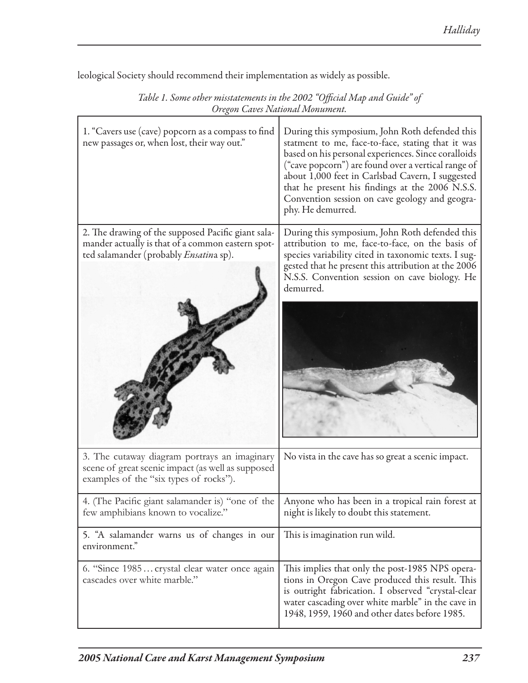| Table 1. Some other misstatements in the 2002 "Official Map and Guide" of<br>Oregon Caves National Monument.                                              |                                                                                                                                                                                                                                                                                                                                                                                                 |
|-----------------------------------------------------------------------------------------------------------------------------------------------------------|-------------------------------------------------------------------------------------------------------------------------------------------------------------------------------------------------------------------------------------------------------------------------------------------------------------------------------------------------------------------------------------------------|
| 1. "Cavers use (cave) popcorn as a compass to find<br>new passages or, when lost, their way out."                                                         | During this symposium, John Roth defended this<br>statment to me, face-to-face, stating that it was<br>based on his personal experiences. Since coralloids<br>("cave popcorn") are found over a vertical range of<br>about 1,000 feet in Carlsbad Cavern, I suggested<br>that he present his findings at the 2006 N.S.S.<br>Convention session on cave geology and geogra-<br>phy. He demurred. |
| 2. The drawing of the supposed Pacific giant sala-<br>mander actually is that of a common eastern spot-<br>ted salamander (probably <i>Ensatin</i> a sp). | During this symposium, John Roth defended this<br>attribution to me, face-to-face, on the basis of<br>species variability cited in taxonomic texts. I sug-<br>gested that he present this attribution at the 2006<br>N.S.S. Convention session on cave biology. He<br>demurred.                                                                                                                 |
| 3. The cutaway diagram portrays an imaginary<br>scene of great scenic impact (as well as supposed<br>examples of the "six types of rocks").               | No vista in the cave has so great a scenic impact.                                                                                                                                                                                                                                                                                                                                              |
| 4. (The Pacific giant salamander is) "one of the<br>few amphibians known to vocalize."                                                                    | Anyone who has been in a tropical rain forest at<br>night is likely to doubt this statement.                                                                                                                                                                                                                                                                                                    |
| 5. "A salamander warns us of changes in our<br>environment."                                                                                              | This is imagination run wild.                                                                                                                                                                                                                                                                                                                                                                   |
| 6. "Since 1985 crystal clear water once again<br>cascades over white marble."                                                                             | This implies that only the post-1985 NPS opera-<br>tions in Oregon Cave produced this result. This<br>is outright fabrication. I observed "crystal-clear<br>water cascading over white marble" in the cave in<br>1948, 1959, 1960 and other dates before 1985.                                                                                                                                  |

leological Society should recommend their implementation as widely as possible.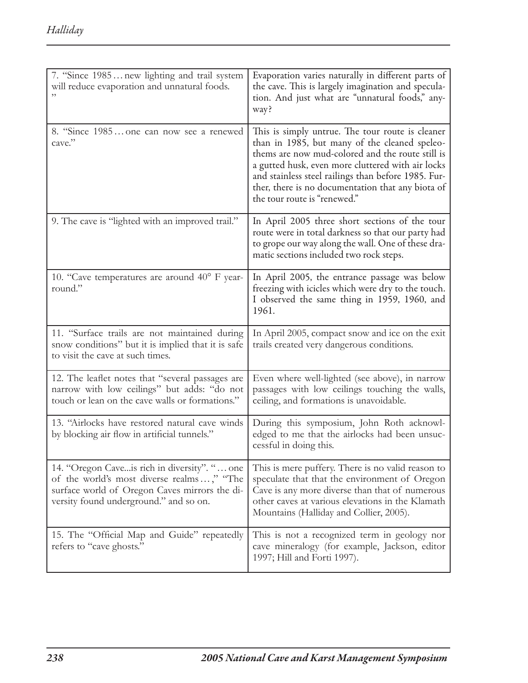| 7. "Since 1985 new lighting and trail system<br>will reduce evaporation and unnatural foods.                                                                                          | Evaporation varies naturally in different parts of<br>the cave. This is largely imagination and specula-<br>tion. And just what are "unnatural foods," any-<br>way?                                                                                                                                                                                    |
|---------------------------------------------------------------------------------------------------------------------------------------------------------------------------------------|--------------------------------------------------------------------------------------------------------------------------------------------------------------------------------------------------------------------------------------------------------------------------------------------------------------------------------------------------------|
| 8. "Since 1985 one can now see a renewed<br>cave."                                                                                                                                    | This is simply untrue. The tour route is cleaner<br>than in 1985, but many of the cleaned speleo-<br>thems are now mud-colored and the route still is<br>a gutted husk, even more cluttered with air locks<br>and stainless steel railings than before 1985. Fur-<br>ther, there is no documentation that any biota of<br>the tour route is "renewed." |
| 9. The cave is "lighted with an improved trail."                                                                                                                                      | In April 2005 three short sections of the tour<br>route were in total darkness so that our party had<br>to grope our way along the wall. One of these dra-<br>matic sections included two rock steps.                                                                                                                                                  |
| 10. "Cave temperatures are around 40° F year-<br>round."                                                                                                                              | In April 2005, the entrance passage was below<br>freezing with icicles which were dry to the touch.<br>I observed the same thing in 1959, 1960, and<br>1961.                                                                                                                                                                                           |
| 11. "Surface trails are not maintained during<br>snow conditions" but it is implied that it is safe<br>to visit the cave at such times.                                               | In April 2005, compact snow and ice on the exit<br>trails created very dangerous conditions.                                                                                                                                                                                                                                                           |
| 12. The leaflet notes that "several passages are<br>narrow with low ceilings" but adds: "do not<br>touch or lean on the cave walls or formations."                                    | Even where well-lighted (see above), in narrow<br>passages with low ceilings touching the walls,<br>ceiling, and formations is unavoidable.                                                                                                                                                                                                            |
| 13. "Airlocks have restored natural cave winds<br>by blocking air flow in artificial tunnels."                                                                                        | During this symposium, John Roth acknowl-<br>edged to me that the airlocks had been unsuc-<br>cessful in doing this.                                                                                                                                                                                                                                   |
| 14. "Oregon Caveis rich in diversity". "  one<br>of the world's most diverse realms," "The<br>surface world of Oregon Caves mirrors the di-<br>versity found underground." and so on. | This is mere puffery. There is no valid reason to<br>speculate that that the environment of Oregon<br>Cave is any more diverse than that of numerous<br>other caves at various elevations in the Klamath<br>Mountains (Halliday and Collier, 2005).                                                                                                    |
| 15. The "Official Map and Guide" repeatedly<br>refers to "cave ghosts."                                                                                                               | This is not a recognized term in geology nor<br>cave mineralogy (for example, Jackson, editor<br>1997; Hill and Forti 1997).                                                                                                                                                                                                                           |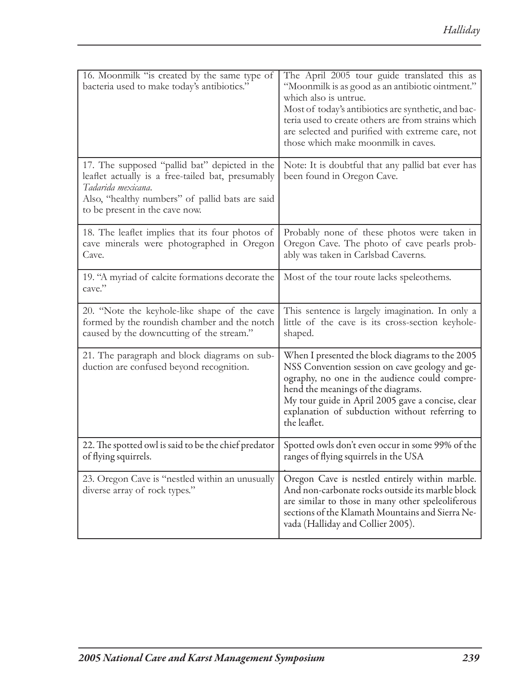| 16. Moonmilk "is created by the same type of<br>bacteria used to make today's antibiotics."                                                                                                                   | The April 2005 tour guide translated this as<br>"Moonmilk is as good as an antibiotic ointment."<br>which also is untrue.<br>Most of today's antibiotics are synthetic, and bac-<br>teria used to create others are from strains which<br>are selected and purified with extreme care, not<br>those which make moonmilk in caves. |
|---------------------------------------------------------------------------------------------------------------------------------------------------------------------------------------------------------------|-----------------------------------------------------------------------------------------------------------------------------------------------------------------------------------------------------------------------------------------------------------------------------------------------------------------------------------|
| 17. The supposed "pallid bat" depicted in the<br>leaflet actually is a free-tailed bat, presumably<br>Tadarida mexicana.<br>Also, "healthy numbers" of pallid bats are said<br>to be present in the cave now. | Note: It is doubtful that any pallid bat ever has<br>been found in Oregon Cave.                                                                                                                                                                                                                                                   |
| 18. The leaflet implies that its four photos of<br>cave minerals were photographed in Oregon<br>Cave.                                                                                                         | Probably none of these photos were taken in<br>Oregon Cave. The photo of cave pearls prob-<br>ably was taken in Carlsbad Caverns.                                                                                                                                                                                                 |
| 19. "A myriad of calcite formations decorate the<br>cave."                                                                                                                                                    | Most of the tour route lacks speleothems.                                                                                                                                                                                                                                                                                         |
| 20. "Note the keyhole-like shape of the cave<br>formed by the roundish chamber and the notch<br>caused by the downcutting of the stream."                                                                     | This sentence is largely imagination. In only a<br>little of the cave is its cross-section keyhole-<br>shaped.                                                                                                                                                                                                                    |
| 21. The paragraph and block diagrams on sub-<br>duction are confused beyond recognition.                                                                                                                      | When I presented the block diagrams to the 2005<br>NSS Convention session on cave geology and ge-<br>ography, no one in the audience could compre-<br>hend the meanings of the diagrams.<br>My tour guide in April 2005 gave a concise, clear<br>explanation of subduction without referring to<br>the leaflet.                   |
| 22. The spotted owl is said to be the chief predator<br>of flying squirrels.                                                                                                                                  | Spotted owls don't even occur in some 99% of the<br>ranges of flying squirrels in the USA                                                                                                                                                                                                                                         |
| 23. Oregon Cave is "nestled within an unusually<br>diverse array of rock types."                                                                                                                              | Oregon Cave is nestled entirely within marble.<br>And non-carbonate rocks outside its marble block<br>are similar to those in many other speleoliferous<br>sections of the Klamath Mountains and Sierra Ne-<br>vada (Halliday and Collier 2005).                                                                                  |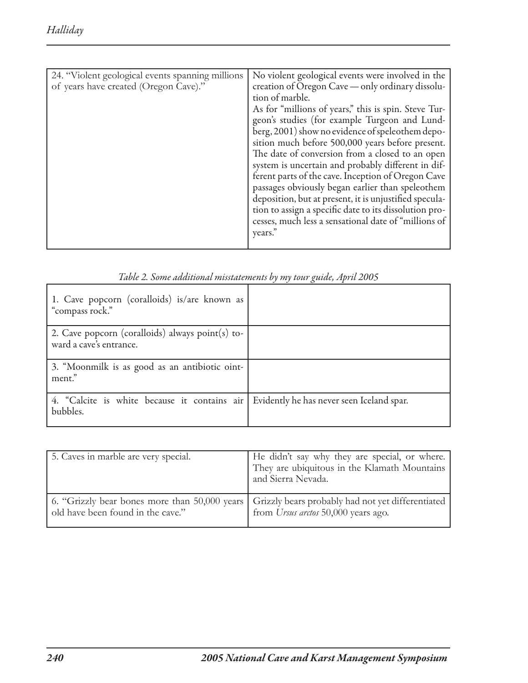| 24. "Violent geological events spanning millions<br>of years have created (Oregon Cave)." | No violent geological events were involved in the<br>creation of Oregon Cave — only ordinary dissolu-<br>tion of marble.<br>As for "millions of years," this is spin. Steve Tur-<br>geon's studies (for example Turgeon and Lund-<br>berg, 2001) show no evidence of speleothem depo-<br>sition much before 500,000 years before present.<br>The date of conversion from a closed to an open<br>system is uncertain and probably different in dif-<br>ferent parts of the cave. Inception of Oregon Cave<br>passages obviously began earlier than speleothem<br>deposition, but at present, it is unjustified specula-<br>tion to assign a specific date to its dissolution pro-<br>cesses, much less a sensational date of "millions of<br>years. |
|-------------------------------------------------------------------------------------------|----------------------------------------------------------------------------------------------------------------------------------------------------------------------------------------------------------------------------------------------------------------------------------------------------------------------------------------------------------------------------------------------------------------------------------------------------------------------------------------------------------------------------------------------------------------------------------------------------------------------------------------------------------------------------------------------------------------------------------------------------|

| 1. Cave popcorn (coralloids) is/are known as<br>"compass rock."                                      |  |
|------------------------------------------------------------------------------------------------------|--|
| 2. Cave popcorn (coralloids) always point(s) to-<br>ward a cave's entrance.                          |  |
| 3. "Moonmilk is as good as an antibiotic oint-<br>ment."                                             |  |
| 4. "Calcite is white because it contains air   Evidently he has never seen Iceland spar.<br>bubbles. |  |

| Table 2. Some additional misstatements by my tour guide, April 2005 |  |  |
|---------------------------------------------------------------------|--|--|
|---------------------------------------------------------------------|--|--|

| 5. Caves in marble are very special. | He didn't say why they are special, or where.<br>They are ubiquitous in the Klamath Mountains<br>and Sierra Nevada.                    |
|--------------------------------------|----------------------------------------------------------------------------------------------------------------------------------------|
| old have been found in the cave."    | 6. "Grizzly bear bones more than 50,000 years Grizzly bears probably had not yet differentiated<br>from Ursus arctos 50,000 years ago. |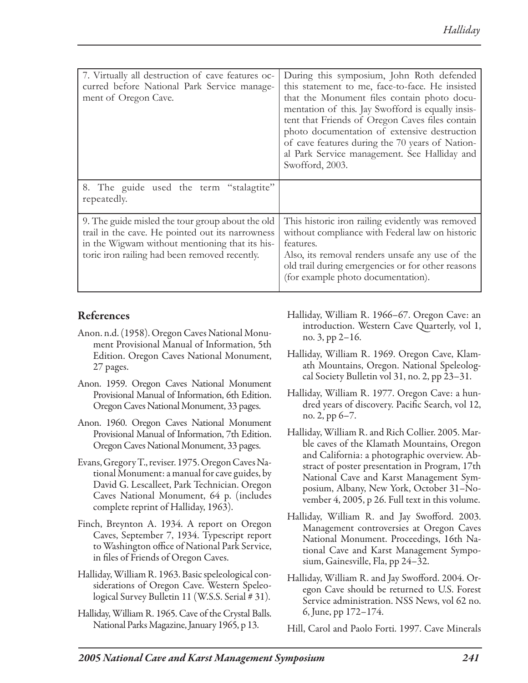| 7. Virtually all destruction of cave features oc-<br>curred before National Park Service manage-<br>ment of Oregon Cave.                                                                                | During this symposium, John Roth defended<br>this statement to me, face-to-face. He insisted<br>that the Monument files contain photo docu-<br>mentation of this. Jay Swofford is equally insis-<br>tent that Friends of Oregon Caves files contain<br>photo documentation of extensive destruction<br>of cave features during the 70 years of Nation-<br>al Park Service management. See Halliday and<br>Swofford, 2003. |
|---------------------------------------------------------------------------------------------------------------------------------------------------------------------------------------------------------|---------------------------------------------------------------------------------------------------------------------------------------------------------------------------------------------------------------------------------------------------------------------------------------------------------------------------------------------------------------------------------------------------------------------------|
| 8. The guide used the term "stalagtite"<br>repeatedly.                                                                                                                                                  |                                                                                                                                                                                                                                                                                                                                                                                                                           |
| 9. The guide misled the tour group about the old<br>trail in the cave. He pointed out its narrowness<br>in the Wigwam without mentioning that its his-<br>toric iron railing had been removed recently. | This historic iron railing evidently was removed<br>without compliance with Federal law on historic<br>features.<br>Also, its removal renders unsafe any use of the<br>old trail during emergencies or for other reasons<br>(for example photo documentation).                                                                                                                                                            |

# References

- Anon. n.d. (1958). Oregon Caves National Monument Provisional Manual of Information, 5th Edition. Oregon Caves National Monument, 27 pages.
- Anon. 1959. Oregon Caves National Monument Provisional Manual of Information, 6th Edition. Oregon Caves National Monument, 33 pages.
- Anon. 1960. Oregon Caves National Monument Provisional Manual of Information, 7th Edition. Oregon Caves National Monument, 33 pages.
- Evans, Gregory T., reviser. 1975. Oregon Caves National Monument: a manual for cave guides, by David G. Lescalleet, Park Technician. Oregon Caves National Monument, 64 p. (includes complete reprint of Halliday, 1963).
- Finch, Breynton A. 1934. A report on Oregon Caves, September 7, 1934. Typescript report to Washington office of National Park Service, in files of Friends of Oregon Caves.
- Halliday, William R. 1963. Basic speleological considerations of Oregon Cave. Western Speleological Survey Bulletin 11 (W.S.S. Serial # 31).
- Halliday, William R. 1965. Cave of the Crystal Balls. National Parks Magazine, January 1965, p 13.
- Halliday, William R. 1966–67. Oregon Cave: an introduction. Western Cave Quarterly, vol 1, no. 3, pp 2–16.
- Halliday, William R. 1969. Oregon Cave, Klamath Mountains, Oregon. National Speleologcal Society Bulletin vol 31, no. 2, pp 23–31.
- Halliday, William R. 1977. Oregon Cave: a hundred years of discovery. Pacific Search, vol 12, no. 2, pp 6–7.
- Halliday, William R. and Rich Collier. 2005. Marble caves of the Klamath Mountains, Oregon and California: a photographic overview. Abstract of poster presentation in Program, 17th National Cave and Karst Management Symposium, Albany, New York, October 31–November 4, 2005, p 26. Full text in this volume.
- Halliday, William R. and Jay Swofford. 2003. Management controversies at Oregon Caves National Monument. Proceedings, 16th National Cave and Karst Management Symposium, Gainesville, Fla, pp 24–32.
- Halliday, William R. and Jay Swofford. 2004. Oregon Cave should be returned to U.S. Forest Service administration. NSS News, vol 62 no. 6, June, pp 172–174.

Hill, Carol and Paolo Forti. 1997. Cave Minerals